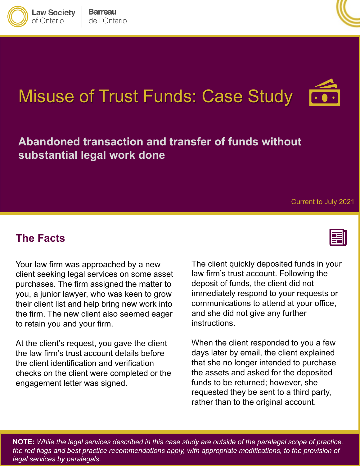



# Misuse of Trust Funds: Case Study



Current to July 2021

#### **The Facts**

Your law firm was approached by a new client seeking legal services on some asset purchases. The firm assigned the matter to you, a junior lawyer, who was keen to grow their client list and help bring new work into the firm. The new client also seemed eager to retain you and your firm.

At the client's request, you gave the client the law firm's trust account details before the client identification and verification checks on the client were completed or the engagement letter was signed.

The client quickly deposited funds in your law firm's trust account. Following the deposit of funds, the client did not immediately respond to your requests or communications to attend at your office, and she did not give any further instructions.

When the client responded to you a few days later by email, the client explained that she no longer intended to purchase the assets and asked for the deposited funds to be returned; however, she requested they be sent to a third party, rather than to the original account.

 **NOTE:** *While the legal services described in this case study are outside of the paralegal scope of practice, the red flags and best practice recommendations apply, with appropriate modifications, to the provision of legal services by paralegals.*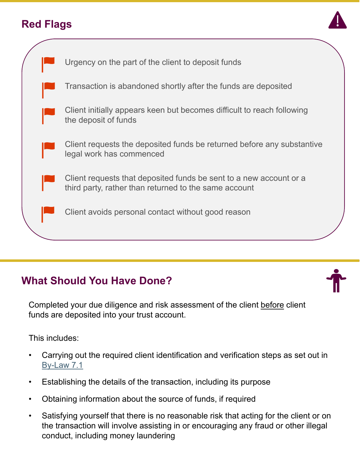# **Red Flags**





## **What Should You Have Done?**

Completed your due diligence and risk assessment of the client before client funds are deposited into your trust account.

This includes:

- Carrying out the required client identification and verification steps as set out in [By-Law 7.1](https://lawsocietyontario.azureedge.net/media/lso/media/legacy/pdf/b/by/by-law-7.1-operational-obligations-01-25-18.pdf)
- Establishing the details of the transaction, including its purpose
- Obtaining information about the source of funds, if required
- Satisfying yourself that there is no reasonable risk that acting for the client or on the transaction will involve assisting in or encouraging any fraud or other illegal conduct, including money laundering